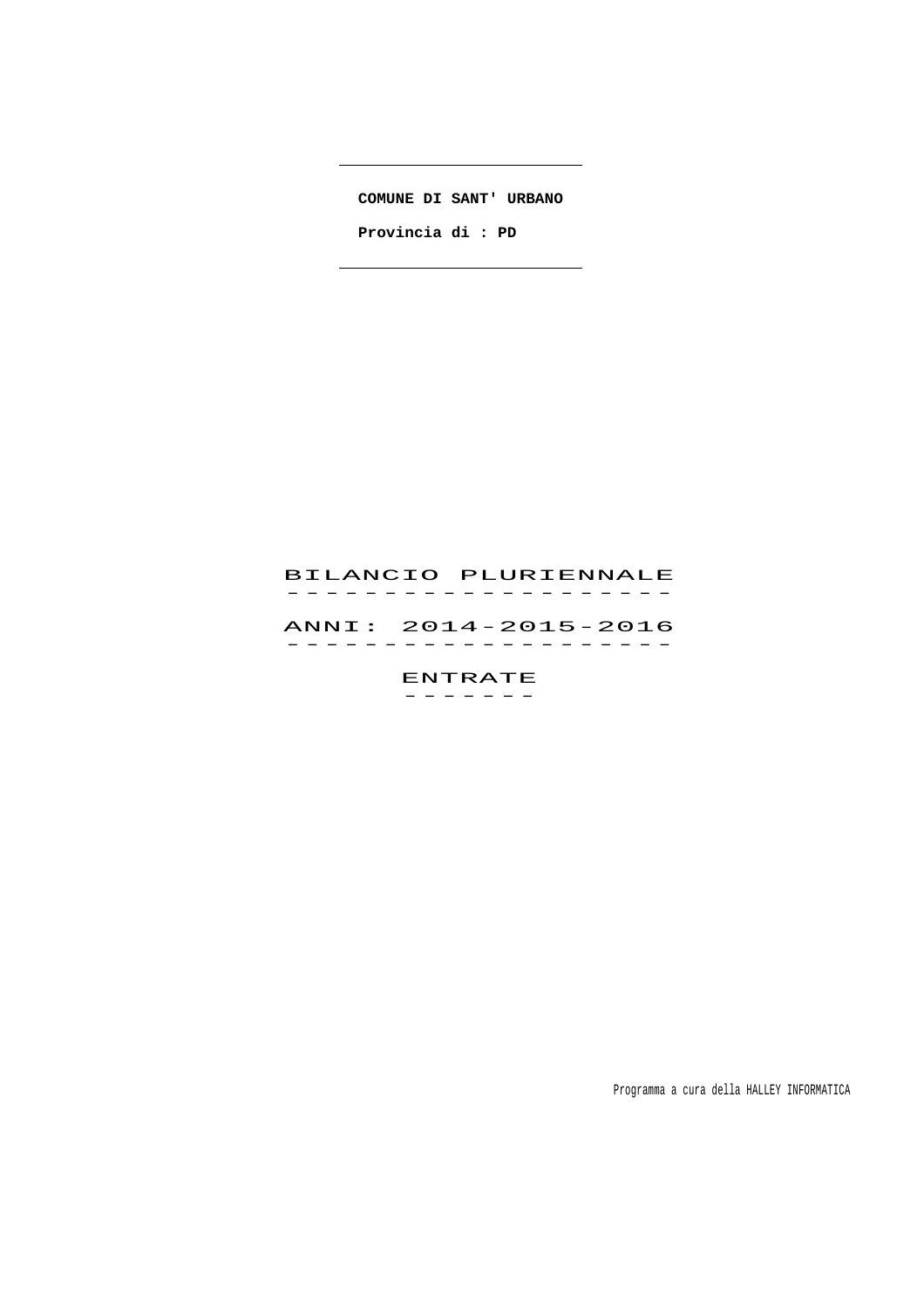**COMUNE DI SANT' URBANO**

 $\overline{\phantom{a}}$ 

 $\overline{\phantom{a}}$ 

 **Provincia di : PD** 

# BILANCIO PLURIENNALE -------------------<br>BILANCIO PLURIENNALE ANNI: 2014-2015-2016 ANNI: 2014–2015–2016<br>------------------

ENTRATE

-------

Programma a cura della HALLEY INFORMATICA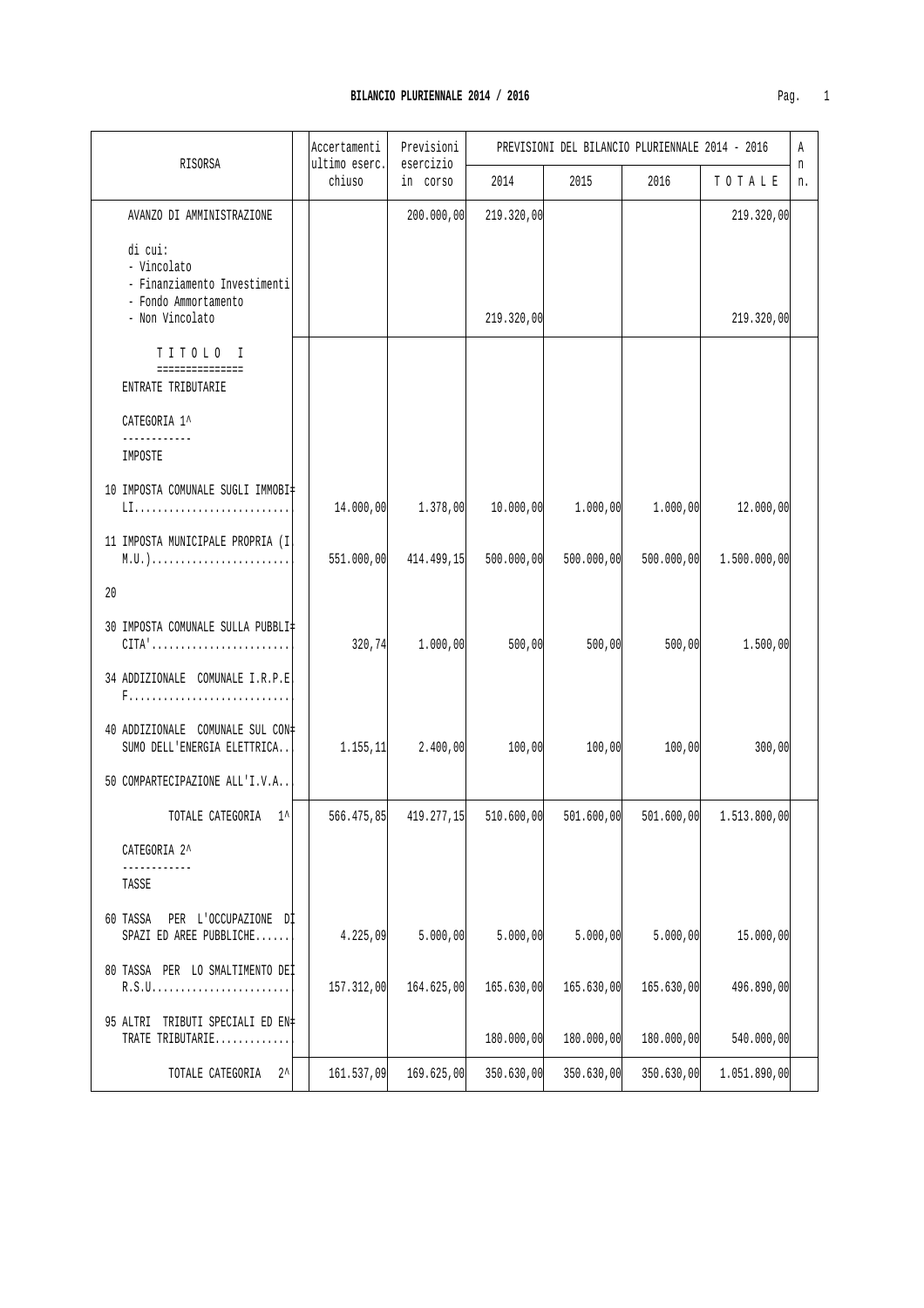| Pag |  |
|-----|--|

<u> 1980 - Johann Barn, mars ann an t-Amhain Aonaich an t-Aonaich an t-Aonaich ann an t-Aonaich ann an t-Aonaich</u>

|                                                                                                      | Accertamenti            | Previsioni<br>esercizio |            | PREVISIONI DEL BILANCIO PLURIENNALE 2014 - 2016 |            |              | Α       |
|------------------------------------------------------------------------------------------------------|-------------------------|-------------------------|------------|-------------------------------------------------|------------|--------------|---------|
| RISORSA                                                                                              | ultimo eserc.<br>chiuso | in corso                | 2014       | 2015                                            | 2016       | TOTALE       | n<br>n. |
| AVANZO DI AMMINISTRAZIONE                                                                            |                         | 200.000,00              | 219.320,00 |                                                 |            | 219.320,00   |         |
| di cui:<br>- Vincolato<br>- Finanziamento Investimenti<br>- Fondo Ammortamento<br>- Non Vincolato    |                         |                         | 219.320,00 |                                                 |            | 219.320,00   |         |
| TITOLO I                                                                                             |                         |                         |            |                                                 |            |              |         |
| ===============<br>ENTRATE TRIBUTARIE                                                                |                         |                         |            |                                                 |            |              |         |
| CATEGORIA 1^                                                                                         |                         |                         |            |                                                 |            |              |         |
| IMPOSTE                                                                                              |                         |                         |            |                                                 |            |              |         |
| 10 IMPOSTA COMUNALE SUGLI IMMOBI‡                                                                    | 14.000,00               | 1.378,00                | 10.000,00  | 1.000,00                                        | 1.000,00   | 12.000,00    |         |
| 11 IMPOSTA MUNICIPALE PROPRIA (I)                                                                    | 551.000,00              | 414.499,15              | 500.000,00 | 500.000,00                                      | 500.000,00 | 1.500.000,00 |         |
| 20                                                                                                   |                         |                         |            |                                                 |            |              |         |
| 30 IMPOSTA COMUNALE SULLA PUBBLI‡<br>$CITA' \ldots \ldots \ldots \ldots \ldots \ldots \ldots \ldots$ | 320, 74                 | 1.000,00                | 500,00     | 500,00                                          | 500,00     | 1.500,00     |         |
| 34 ADDIZIONALE COMUNALE I.R.P.E                                                                      |                         |                         |            |                                                 |            |              |         |
| 40 ADDIZIONALE COMUNALE SUL CON=<br>SUMO DELL'ENERGIA ELETTRICA                                      | 1.155, 11               | 2.400,00                | 100,00     | 100,00                                          | 100,00     | 300,00       |         |
| 50 COMPARTECIPAZIONE ALL'I.V.A                                                                       |                         |                         |            |                                                 |            |              |         |
| TOTALE CATEGORIA<br>$1^{\wedge}$                                                                     | 566.475,85              | 419.277,15              | 510.600,00 | 501.600,00                                      | 501.600,00 | 1.513.800,00 |         |
| CATEGORIA 2^                                                                                         |                         |                         |            |                                                 |            |              |         |
| TASSE                                                                                                |                         |                         |            |                                                 |            |              |         |
| 60 TASSA<br>PER L'OCCUPAZIONE DI<br>SPAZI ED AREE PUBBLICHE                                          | 4.225,09                | 5.000,00                | 5.000,00   | 5.000,00                                        | 5.000,00   | 15.000,00    |         |
| 80 TASSA PER LO SMALTIMENTO DEI                                                                      | 157.312,00              | 164.625,00              | 165.630,00 | 165.630,00                                      | 165.630,00 | 496.890,00   |         |
| 95 ALTRI TRIBUTI SPECIALI ED EN‡<br>TRATE TRIBUTARIE                                                 |                         |                         | 180.000,00 | 180.000,00                                      | 180.000,00 | 540.000,00   |         |
| $2^{\lambda}$<br>TOTALE CATEGORIA                                                                    | 161.537,09              | 169.625,00              | 350.630,00 | 350.630,00                                      | 350.630,00 | 1.051.890,00 |         |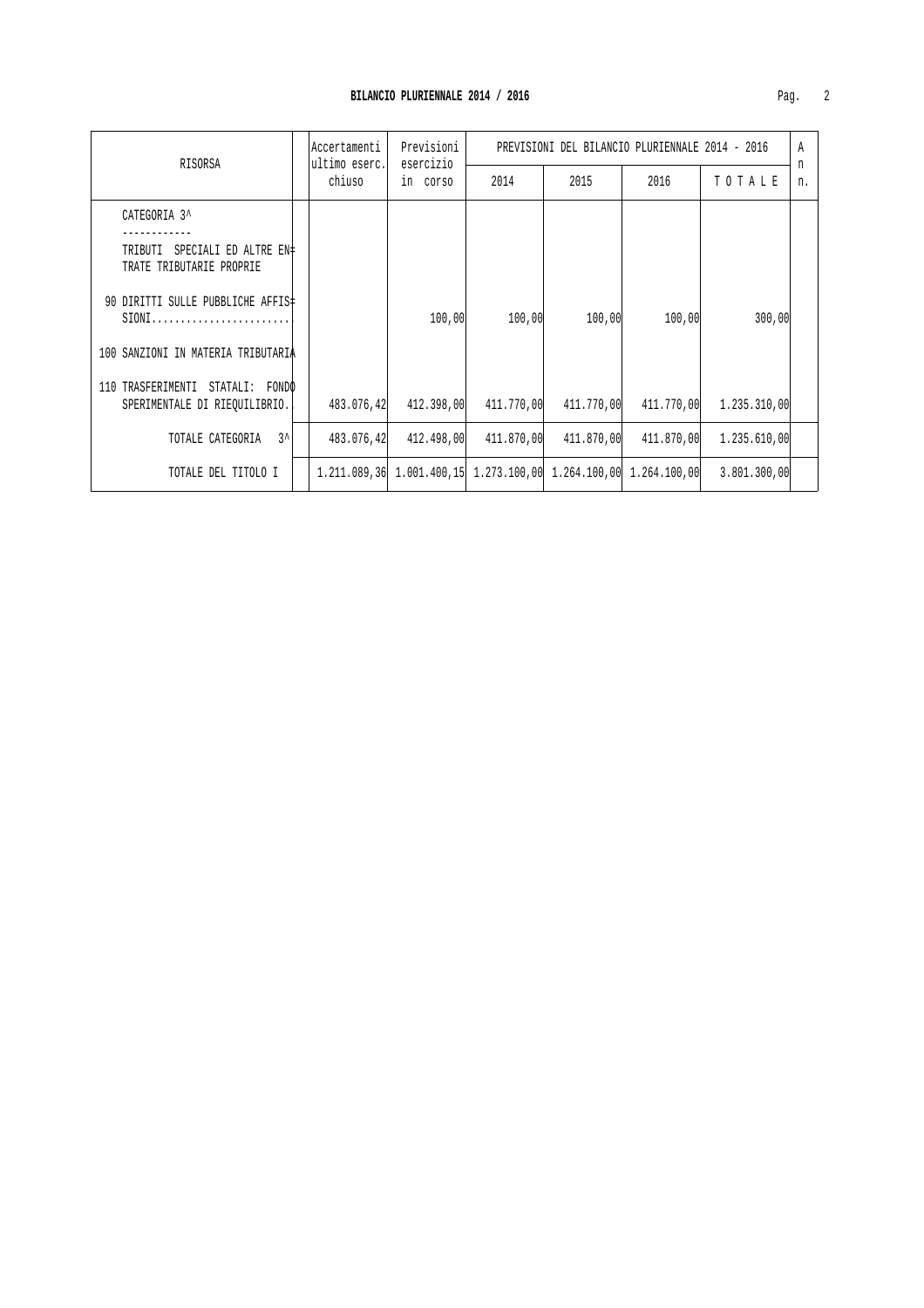| RISORSA                                                                 | Accertamenti<br>ultimo eserc. | Previsioni<br>esercizio |                                                                  | PREVISIONI DEL BILANCIO PLURIENNALE 2014 - 2016 |            |              | A       |
|-------------------------------------------------------------------------|-------------------------------|-------------------------|------------------------------------------------------------------|-------------------------------------------------|------------|--------------|---------|
|                                                                         | chiuso                        | in corso                | 2014                                                             | 2015                                            | 2016       | TOTALE       | n<br>n. |
| CATEGORIA 3^                                                            |                               |                         |                                                                  |                                                 |            |              |         |
| <b>TRIBUTI</b><br>SPECIALI ED ALTRE EN±<br>TRATE TRIBUTARIE PROPRIE     |                               |                         |                                                                  |                                                 |            |              |         |
| 90 DIRITTI SULLE PUBBLICHE AFFIS‡<br>$SIONI$                            |                               | 100,00                  | 100,00                                                           | 100,00                                          | 100,00     | 300,00       |         |
| 100 SANZIONI IN MATERIA TRIBUTARIA                                      |                               |                         |                                                                  |                                                 |            |              |         |
| TRASFERIMENTI STATALI:<br>FONDO<br>110<br>SPERIMENTALE DI RIEQUILIBRIO. | 483.076,42                    | 412.398,00              | 411.770,00                                                       | 411.770,00                                      | 411.770,00 | 1,235,310,00 |         |
| $3^{\prime}$<br>TOTALE CATEGORIA                                        | 483.076,42                    | 412.498,00              | 411.870,00                                                       | 411.870,00                                      | 411.870,00 | 1.235.610,00 |         |
| TOTALE DEL TITOLO I                                                     |                               |                         | 1.211.089,36 1.001.400,15 1.273.100,00 1.264.100,00 1.264.100,00 |                                                 |            | 3.801.300,00 |         |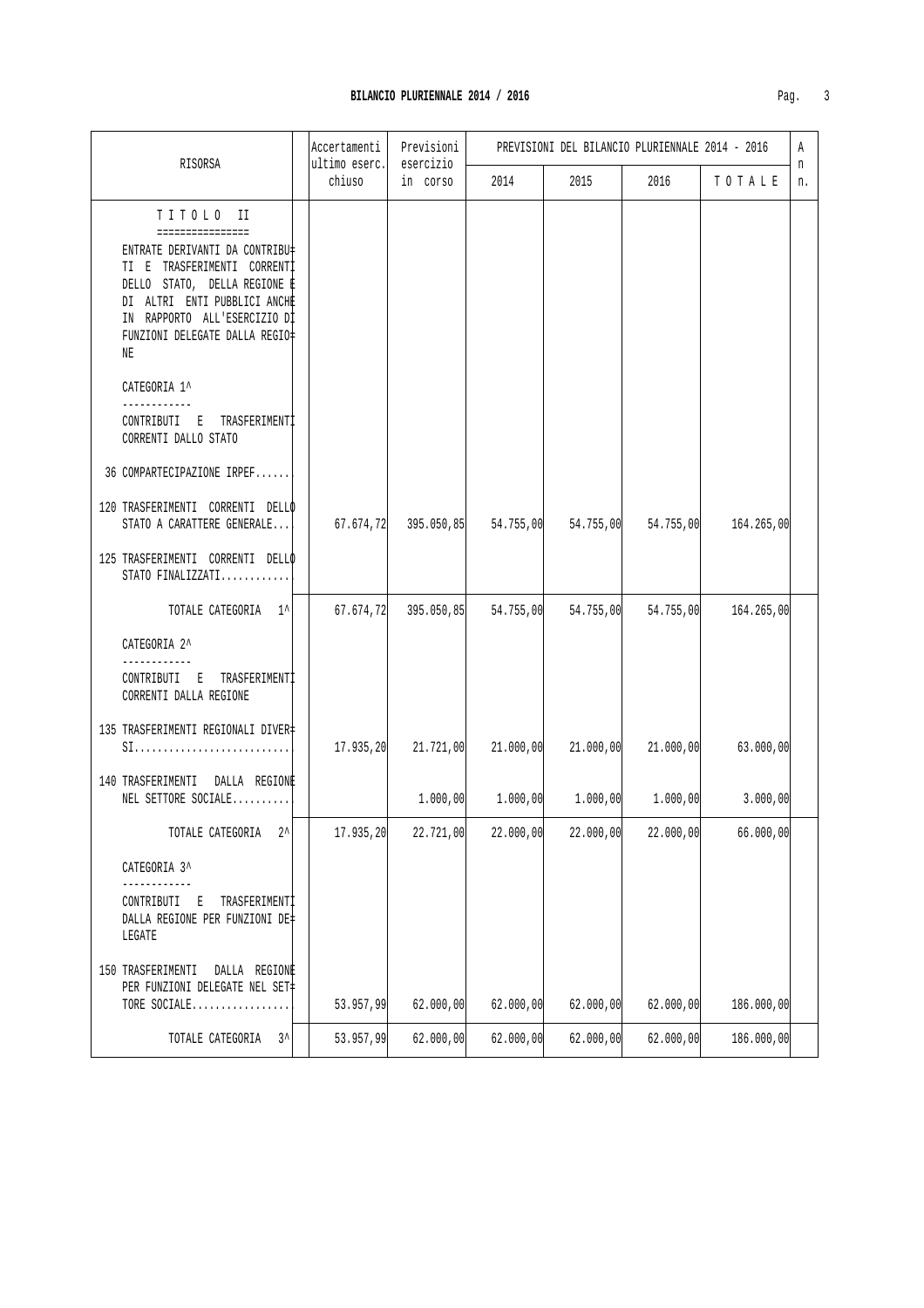| RISORSA                                                                                                                                                                                                                                | Accertamenti<br>ultimo eserc. | Previsioni<br>esercizio |           | PREVISIONI DEL BILANCIO PLURIENNALE 2014 - 2016 |           |            |         |  |
|----------------------------------------------------------------------------------------------------------------------------------------------------------------------------------------------------------------------------------------|-------------------------------|-------------------------|-----------|-------------------------------------------------|-----------|------------|---------|--|
|                                                                                                                                                                                                                                        | chiuso                        | in corso                | 2014      | 2015                                            | 2016      | TOTALE     | n<br>n. |  |
| TITOLO II<br>================<br>ENTRATE DERIVANTI DA CONTRIBU‡<br>TI E TRASFERIMENTI CORRENTI<br>DELLO STATO, DELLA REGIONE E<br>DI ALTRI ENTI PUBBLICI ANCHE<br>IN RAPPORTO ALL'ESERCIZIO DI<br>FUNZIONI DELEGATE DALLA REGIO‡<br>NΕ |                               |                         |           |                                                 |           |            |         |  |
| CATEGORIA 1^<br>------------<br>CONTRIBUTI E TRASFERIMENTI<br>CORRENTI DALLO STATO                                                                                                                                                     |                               |                         |           |                                                 |           |            |         |  |
| 36 COMPARTECIPAZIONE IRPEF                                                                                                                                                                                                             |                               |                         |           |                                                 |           |            |         |  |
| 120 TRASFERIMENTI CORRENTI DELLO<br>STATO A CARATTERE GENERALE                                                                                                                                                                         | 67.674,72                     |                         |           | 395.050,85 54.755,00 54.755,00 54.755,00        |           | 164.265,00 |         |  |
| 125 TRASFERIMENTI CORRENTI DELLO<br>STATO FINALIZZATI                                                                                                                                                                                  |                               |                         |           |                                                 |           |            |         |  |
| TOTALE CATEGORIA 1^                                                                                                                                                                                                                    | 67.674,72                     | 395.050, 85             | 54.755,00 | 54.755,00                                       | 54.755,00 | 164.265,00 |         |  |
| CATEGORIA 2^<br>CONTRIBUTI E TRASFERIMENTI<br>CORRENTI DALLA REGIONE                                                                                                                                                                   |                               |                         |           |                                                 |           |            |         |  |
| 135 TRASFERIMENTI REGIONALI DIVER‡                                                                                                                                                                                                     | 17.935,20                     | 21.721,00               | 21.000,00 | 21.000,00                                       | 21.000,00 | 63.000,00  |         |  |
| 140 TRASFERIMENTI DALLA REGIONE<br>NEL SETTORE SOCIALE                                                                                                                                                                                 |                               | 1.000,00                | 1.000,00  | 1.000,00                                        | 1.000,00  | 3.000,00   |         |  |
| $2^{\lambda}$<br>TOTALE CATEGORIA                                                                                                                                                                                                      | 17.935,20                     | 22.721,00               | 22.000,00 | 22.000,00                                       | 22.000,00 | 66.000,00  |         |  |
| CATEGORIA 3^                                                                                                                                                                                                                           |                               |                         |           |                                                 |           |            |         |  |
| TRASFERIMENTI<br>CONTRIBUTI<br>E<br>DALLA REGIONE PER FUNZIONI DE‡<br>LEGATE                                                                                                                                                           |                               |                         |           |                                                 |           |            |         |  |
| 150 TRASFERIMENTI<br>DALLA REGIONE<br>PER FUNZIONI DELEGATE NEL SET‡<br>TORE SOCIALE                                                                                                                                                   | 53.957,99                     | 62.000,00               | 62.000,00 | 62.000,00                                       | 62.000,00 | 186.000,00 |         |  |
| $3^{\lambda}$<br>TOTALE CATEGORIA                                                                                                                                                                                                      | 53.957,99                     | 62.000,00               | 62.000,00 | 62.000,00                                       | 62.000,00 | 186.000,00 |         |  |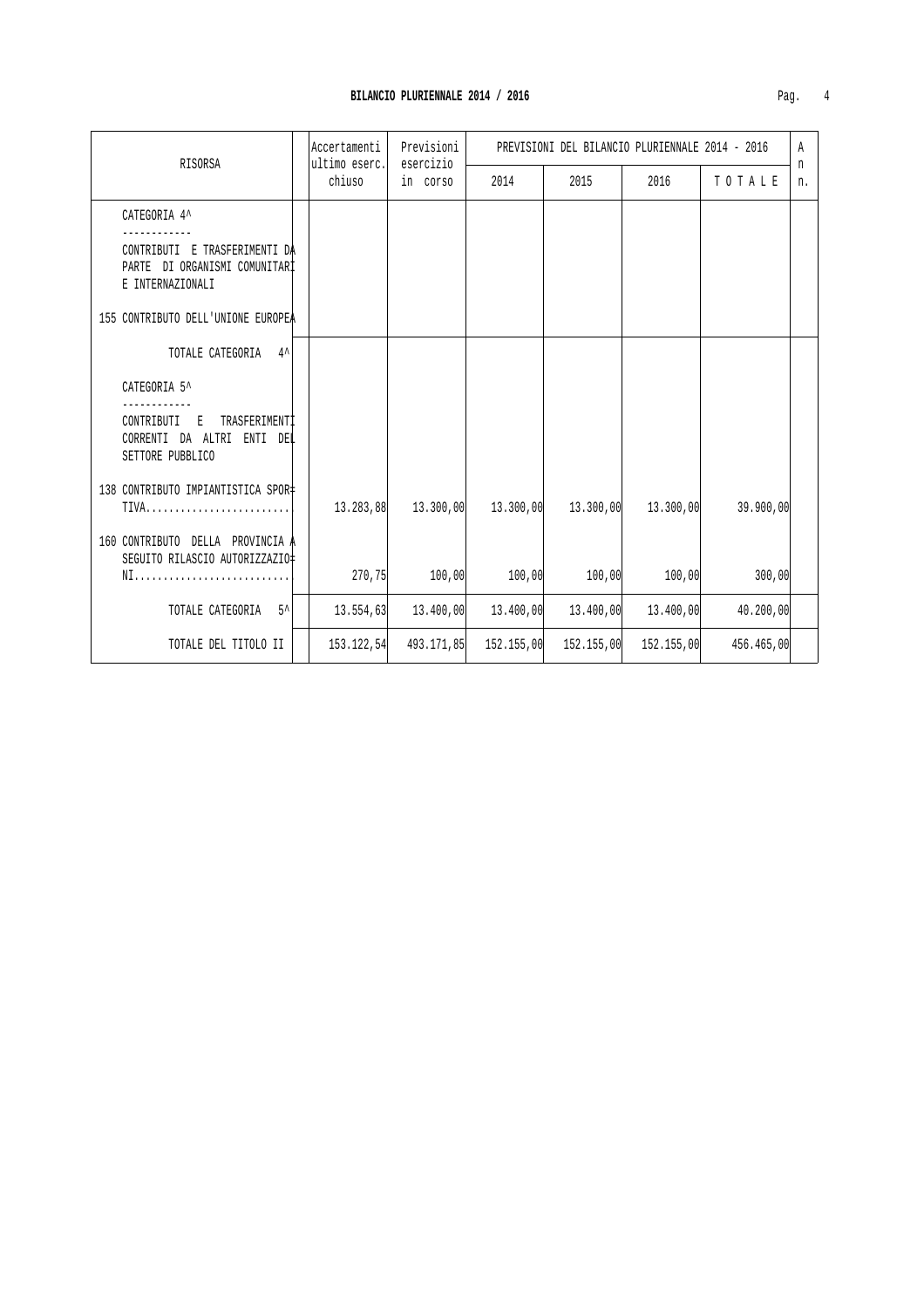| RISORSA                                                                            | Accertamenti<br>ultimo eserc. | Previsioni<br>esercizio |            | PREVISIONI DEL BILANCIO PLURIENNALE 2014 - 2016 |                     |            | Α<br>n |
|------------------------------------------------------------------------------------|-------------------------------|-------------------------|------------|-------------------------------------------------|---------------------|------------|--------|
|                                                                                    | chiuso                        | in corso                | 2014       | 2015                                            | 2016                | TOTALE     | n.     |
| CATEGORIA 4^                                                                       |                               |                         |            |                                                 |                     |            |        |
| CONTRIBUTI E TRASFERIMENTI DA<br>PARTE DI ORGANISMI COMUNITARI<br>E INTERNAZIONALI |                               |                         |            |                                                 |                     |            |        |
| 155 CONTRIBUTO DELL'UNIONE EUROPEA                                                 |                               |                         |            |                                                 |                     |            |        |
| TOTALE CATEGORIA 4^                                                                |                               |                         |            |                                                 |                     |            |        |
| CATEGORIA 5^                                                                       |                               |                         |            |                                                 |                     |            |        |
| TRASFERIMENTI<br>CONTRIBUTI<br>E<br>CORRENTI DA ALTRI ENTI DEL<br>SETTORE PUBBLICO |                               |                         |            |                                                 |                     |            |        |
| 138 CONTRIBUTO IMPIANTISTICA SPOR‡<br>$TIVA$                                       | 13.283,88                     | 13.300,00               | 13.300,00  |                                                 | 13.300,00 13.300,00 | 39.900,00  |        |
| 160 CONTRIBUTO DELLA PROVINCIA A<br>SEGUITO RILASCIO AUTORIZZAZIO                  |                               |                         |            |                                                 |                     |            |        |
|                                                                                    | 270,75                        | 100,00                  | 100,00     | 100,00                                          | 100,00              | 300,00     |        |
| $5^{\prime}$<br>TOTALE CATEGORIA                                                   | 13.554,63                     | 13.400,00               | 13.400,00  | 13.400,00                                       | 13.400,00           | 40.200,00  |        |
| TOTALE DEL TITOLO II                                                               | 153.122,54                    | 493.171,85              | 152.155,00 | 152.155,00                                      | 152.155,00          | 456.465,00 |        |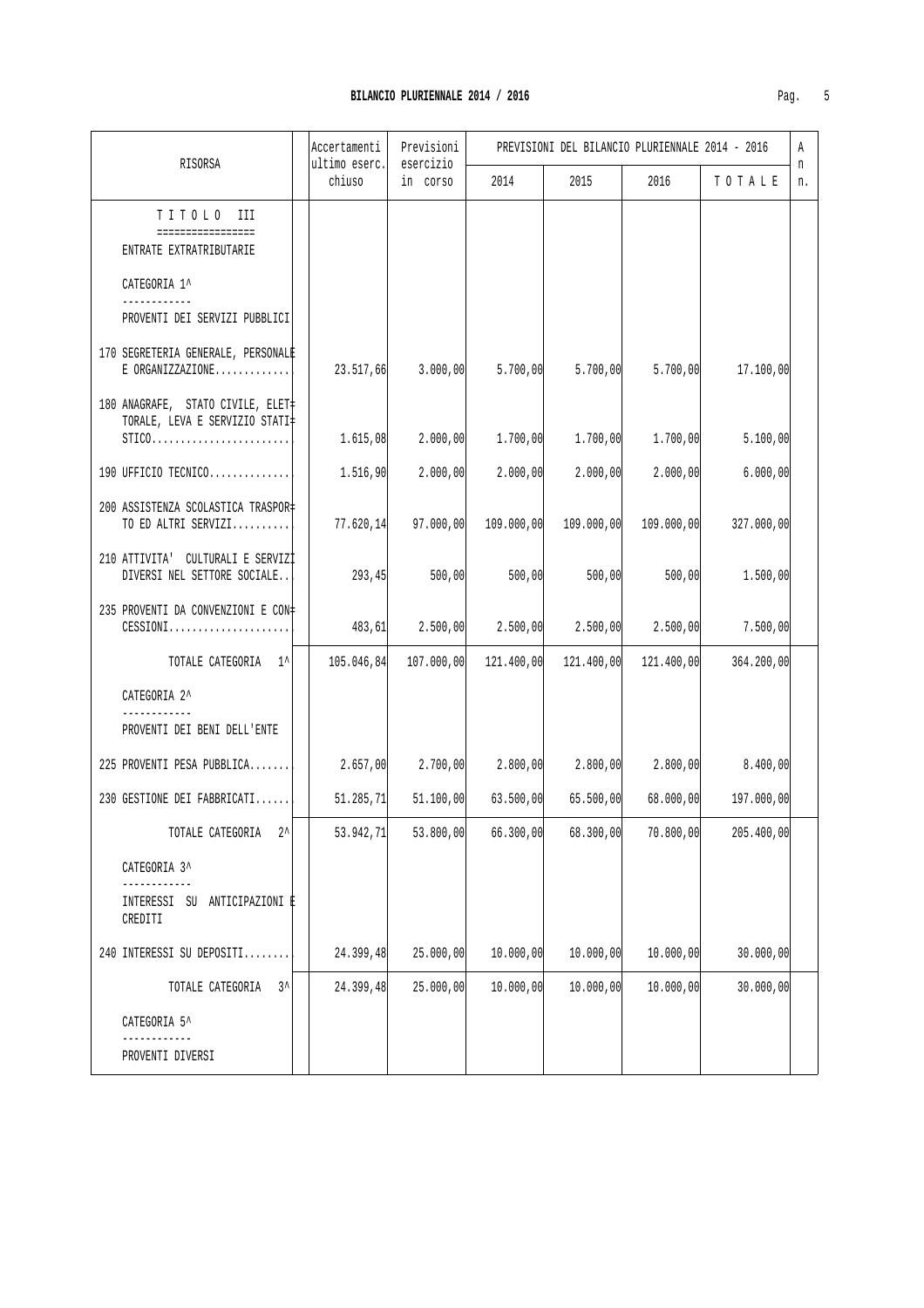**BILANCIO PLURIENNALE 2014 / 2016** 

| RISORSA                                                                         | Accertamenti<br>ultimo eserc. | Previsioni<br>esercizio |                                         | PREVISIONI DEL BILANCIO PLURIENNALE 2014 - 2016                   |            |            | Α<br>n |
|---------------------------------------------------------------------------------|-------------------------------|-------------------------|-----------------------------------------|-------------------------------------------------------------------|------------|------------|--------|
|                                                                                 | chiuso                        | in corso                | 2014                                    | 2015                                                              | 2016       | TOTALE     | n.     |
| TITOLO III<br>================<br>ENTRATE EXTRATRIBUTARIE                       |                               |                         |                                         |                                                                   |            |            |        |
| CATEGORIA 1^<br>------------                                                    |                               |                         |                                         |                                                                   |            |            |        |
| PROVENTI DEI SERVIZI PUBBLICI                                                   |                               |                         |                                         |                                                                   |            |            |        |
| 170 SEGRETERIA GENERALE, PERSONALE<br>$E$ ORGANIZZAZIONE                        | 23.517,66                     | 3.000,00                | 5.700,00                                | 5.700,00                                                          | 5.700,00   | 17.100,00  |        |
| 180 ANAGRAFE, STATO CIVILE, ELET‡<br>TORALE, LEVA E SERVIZIO STATI‡<br>$STICO.$ | 1.615,08                      | 2.000,00                | 1.700,00                                | 1.700,00                                                          | 1.700,00   | 5.100,00   |        |
| 190 UFFICIO TECNICO                                                             | 1.516,90                      | 2.000,00                | 2.000,00                                | 2.000,00                                                          | 2.000,00   | 6.000,00   |        |
| 200 ASSISTENZA SCOLASTICA TRASPOR=<br>TO ED ALTRI SERVIZI                       |                               |                         | $77.620, 14$ $97.000, 00$ $109.000, 00$ | 109.000,00                                                        | 109.000,00 | 327.000,00 |        |
| 210 ATTIVITA' CULTURALI E SERVIZI<br>DIVERSI NEL SETTORE SOCIALE                | 293,45                        | 500,00                  | 500,00                                  | 500,00                                                            | 500,00     | 1.500,00   |        |
| 235 PROVENTI DA CONVENZIONI E CON‡<br>$\mathtt{CESSIONI}$                       | 483,61                        | 2.500,00                | 2.500,00                                | 2.500,00                                                          | 2.500,00   | 7.500,00   |        |
| TOTALE CATEGORIA 1^                                                             | 105.046,84                    | 107.000,00              | 121.400,00                              | 121.400,00                                                        | 121.400,00 | 364.200,00 |        |
| CATEGORIA 2^                                                                    |                               |                         |                                         |                                                                   |            |            |        |
| PROVENTI DEI BENI DELL'ENTE                                                     |                               |                         |                                         |                                                                   |            |            |        |
| 225 PROVENTI PESA PUBBLICA                                                      |                               |                         |                                         | $2.657,00$ $2.700,00$ $2.800,00$ $2.800,00$ $2.800,00$ $2.800,00$ |            | 8.400,00   |        |
| 230 GESTIONE DEI FABBRICATI                                                     | 51.285,71                     | 51.100,00               | 63.500,00                               | 65.500,00                                                         | 68.000,00  | 197.000,00 |        |
| TOTALE CATEGORIA<br>$2^{\prime}$                                                | 53.942, 71                    | 53.800,00               | 66.300,00                               | 68.300,00                                                         | 70.800,00  | 205.400,00 |        |
| CATEGORIA 3^                                                                    |                               |                         |                                         |                                                                   |            |            |        |
| INTERESSI SU ANTICIPAZIONI E<br>CREDITI                                         |                               |                         |                                         |                                                                   |            |            |        |
| 240 INTERESSI SU DEPOSITI                                                       | 24.399,48                     | 25.000,00               | 10.000,00                               | 10.000,00                                                         | 10.000,00  | 30.000,00  |        |
| $3^{\lambda}$<br>TOTALE CATEGORIA                                               | 24.399,48                     | 25.000,00               | 10.000,00                               | 10.000,00                                                         | 10.000,00  | 30.000,00  |        |
| CATEGORIA 5^                                                                    |                               |                         |                                         |                                                                   |            |            |        |
| PROVENTI DIVERSI                                                                |                               |                         |                                         |                                                                   |            |            |        |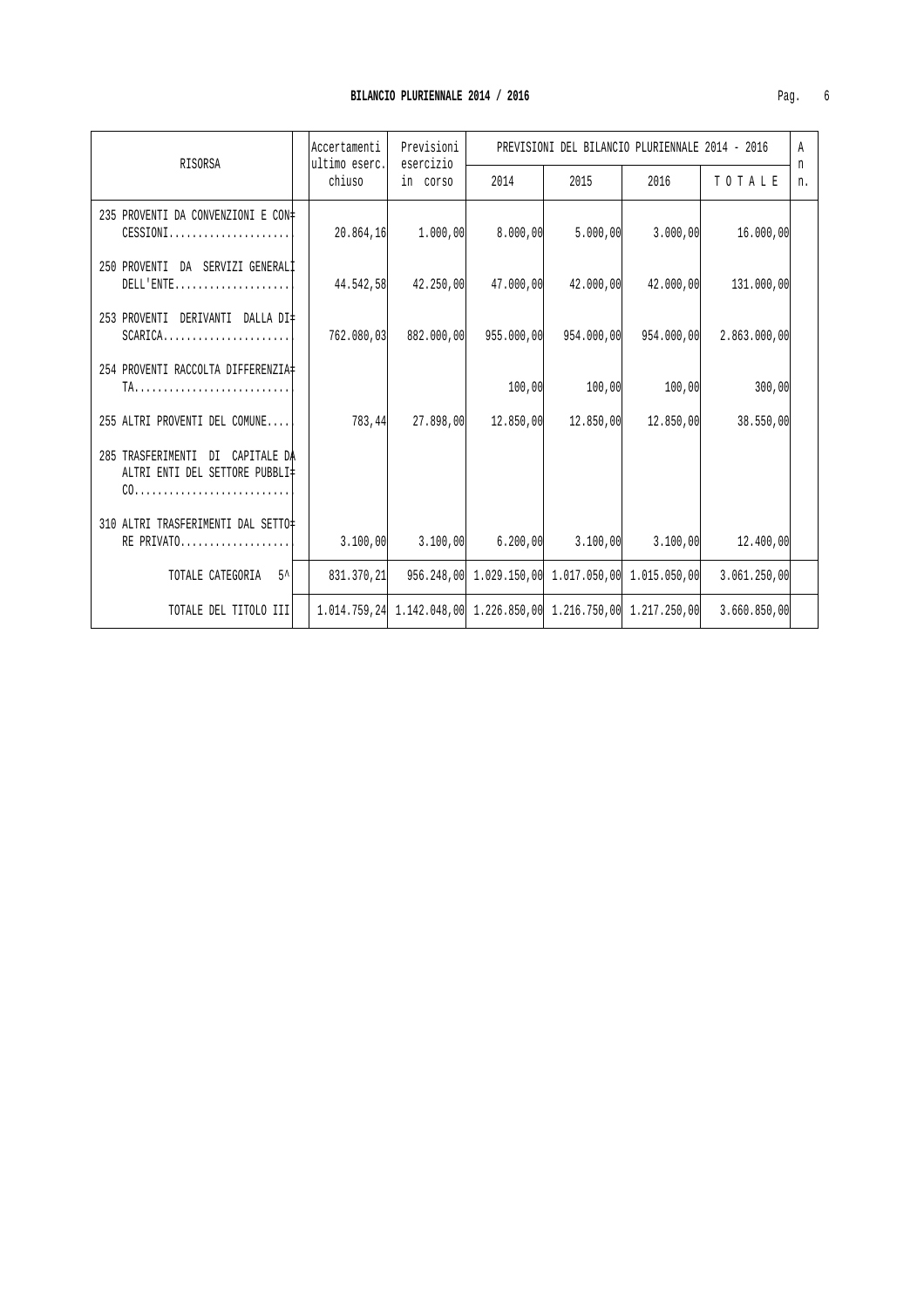| RISORSA                                                            | lAccertamenti | Previsioni<br>ultimo eserc.<br>esercizio |                                                                  | PREVISIONI DEL BILANCIO PLURIENNALE 2014 - 2016 |                     |              |         |  | Α |
|--------------------------------------------------------------------|---------------|------------------------------------------|------------------------------------------------------------------|-------------------------------------------------|---------------------|--------------|---------|--|---|
|                                                                    | chiuso        | in corso                                 | 2014                                                             | 2015                                            | 2016                | TOTALE       | n<br>n. |  |   |
| 235 PROVENTI DA CONVENZIONI E CON#<br>$CESSIONI$                   | 20.864,16     | 1.000,00                                 | 8.000,00                                                         | 5.000,00                                        | 3.000,00            | 16.000,00    |         |  |   |
| 250 PROVENTI DA SERVIZI GENERALI<br>$DELL'$ $ENTE$                 | 44.542,58     | 42.250,00                                | 47.000,00                                                        | 42.000,00                                       | 42.000,00           | 131.000,00   |         |  |   |
| 253 PROVENTI DERIVANTI DALLA DI#<br>$SCARICA$                      | 762.080.03    | 882.000,00                               | 955,000,00                                                       | 954.000,00                                      | 954.000,00          | 2.863.000,00 |         |  |   |
| 254 PROVENTI RACCOLTA DIFFERENZIA                                  |               |                                          | 100,00                                                           | 100,00                                          | 100,00              | 300,00       |         |  |   |
| 255 ALTRI PROVENTI DEL COMUNE                                      | 783,44        | 27.898,00                                | 12.850,00                                                        |                                                 | 12.850,00 12.850,00 | 38.550,00    |         |  |   |
| 285 TRASFERIMENTI DI CAPITALE DA<br>ALTRI ENTI DEL SETTORE PUBBLI‡ |               |                                          |                                                                  |                                                 |                     |              |         |  |   |
| 310 ALTRI TRASFERIMENTI DAL SETTO‡<br>RE PRIVATO                   | 3.100,00      | 3.100,00                                 |                                                                  | $6.200,00$ $3.100,00$ $3.100,00$                |                     | 12.400,00    |         |  |   |
| $5^{\prime}$<br>TOTALE CATEGORIA                                   | 831.370.21    |                                          | 956.248,00 1.029.150,00 1.017.050,00 1.015.050,00                |                                                 |                     | 3.061.250,00 |         |  |   |
| TOTALE DEL TITOLO III                                              |               |                                          | 1.014.759.24 1.142.048.00 1.226.850.00 1.216.750.00 1.217.250.00 |                                                 |                     | 3.660.850.00 |         |  |   |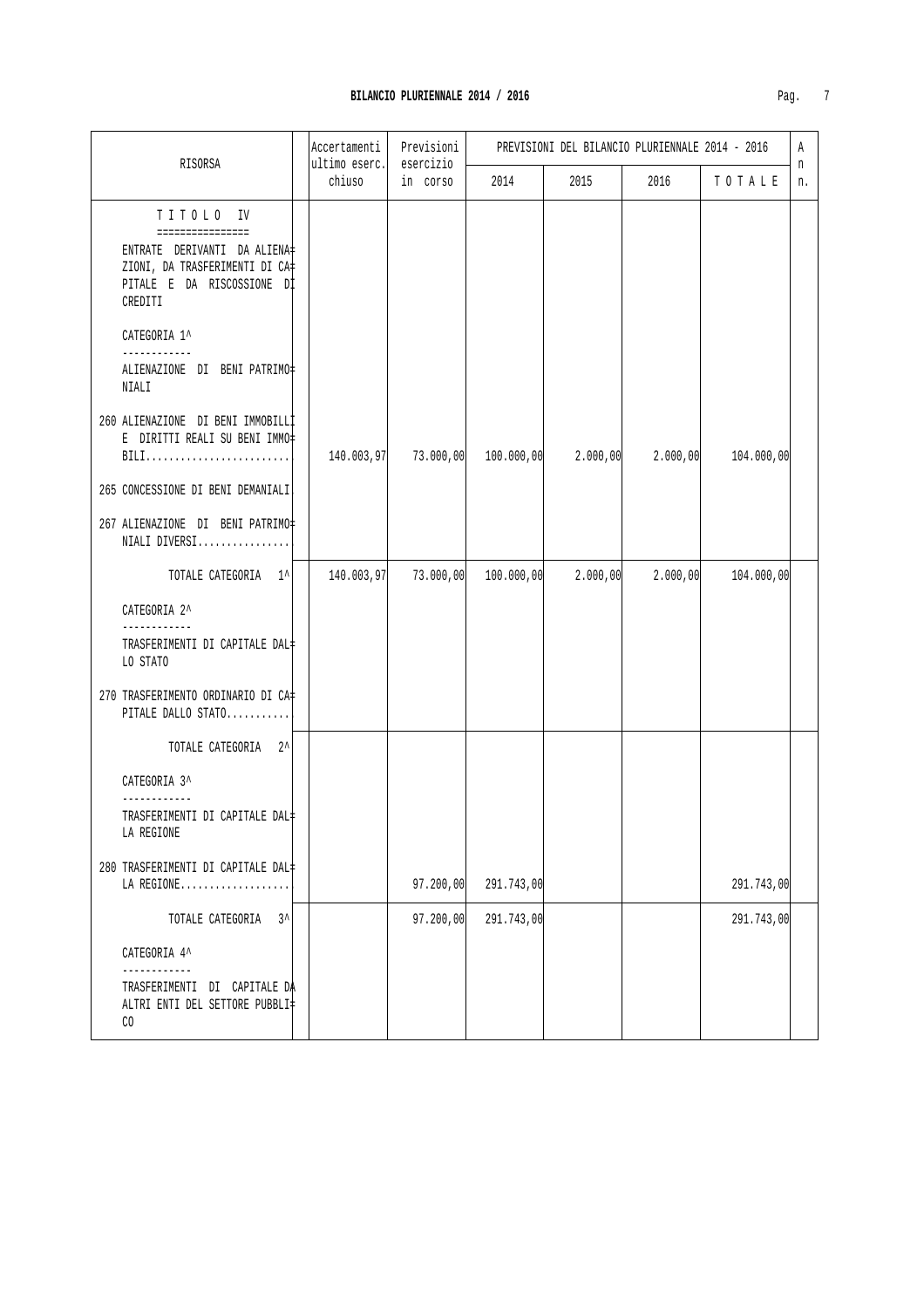|                                                                                                                                          | Accertamenti            | Previsioni            |            |          | PREVISIONI DEL BILANCIO PLURIENNALE 2014 - 2016 |            | A       |
|------------------------------------------------------------------------------------------------------------------------------------------|-------------------------|-----------------------|------------|----------|-------------------------------------------------|------------|---------|
| RISORSA                                                                                                                                  | ultimo eserc.<br>chiuso | esercizio<br>in corso | 2014       | 2015     | 2016                                            | TOTALE     | n<br>n. |
| TITOLO IV<br>================<br>ENTRATE DERIVANTI DA ALIENA‡<br>ZIONI, DA TRASFERIMENTI DI CA‡<br>PITALE E DA RISCOSSIONE DI<br>CREDITI |                         |                       |            |          |                                                 |            |         |
| CATEGORIA 1^<br>------------<br>ALIENAZIONE DI BENI PATRIMO#<br>NIALI                                                                    |                         |                       |            |          |                                                 |            |         |
| 260 ALIENAZIONE DI BENI IMMOBILLI<br>E DIRITTI REALI SU BENI IMMO#<br>BILI<br>265 CONCESSIONE DI BENI DEMANIALI                          | 140.003,97              | 73.000,00             | 100.000,00 | 2.000,00 | 2.000,00                                        | 104.000,00 |         |
| 267 ALIENAZIONE DI BENI PATRIMO#<br>NIALI DIVERSI                                                                                        |                         |                       |            |          |                                                 |            |         |
| TOTALE CATEGORIA 1^                                                                                                                      | 140.003,97              | 73.000,00             | 100.000,00 | 2.000,00 | 2.000,00                                        | 104.000,00 |         |
| CATEGORIA 2^<br>------------<br>TRASFERIMENTI DI CAPITALE DAL‡<br>LO STATO<br>270 TRASFERIMENTO ORDINARIO DI CA‡<br>PITALE DALLO STATO   |                         |                       |            |          |                                                 |            |         |
| TOTALE CATEGORIA 2^                                                                                                                      |                         |                       |            |          |                                                 |            |         |
| CATEGORIA 3^<br>TRASFERIMENTI DI CAPITALE DAL‡<br>LA REGIONE                                                                             |                         |                       |            |          |                                                 |            |         |
| 280 TRASFERIMENTI DI CAPITALE DAL+<br>LA REGIONE                                                                                         |                         | 97.200,00             | 291.743,00 |          |                                                 | 291.743,00 |         |
| TOTALE CATEGORIA 3^                                                                                                                      |                         | 97.200,00             | 291.743,00 |          |                                                 | 291.743,00 |         |
| CATEGORIA 4^<br>---------                                                                                                                |                         |                       |            |          |                                                 |            |         |
| TRASFERIMENTI DI CAPITALE DA<br>ALTRI ENTI DEL SETTORE PUBBLI‡<br>CO                                                                     |                         |                       |            |          |                                                 |            |         |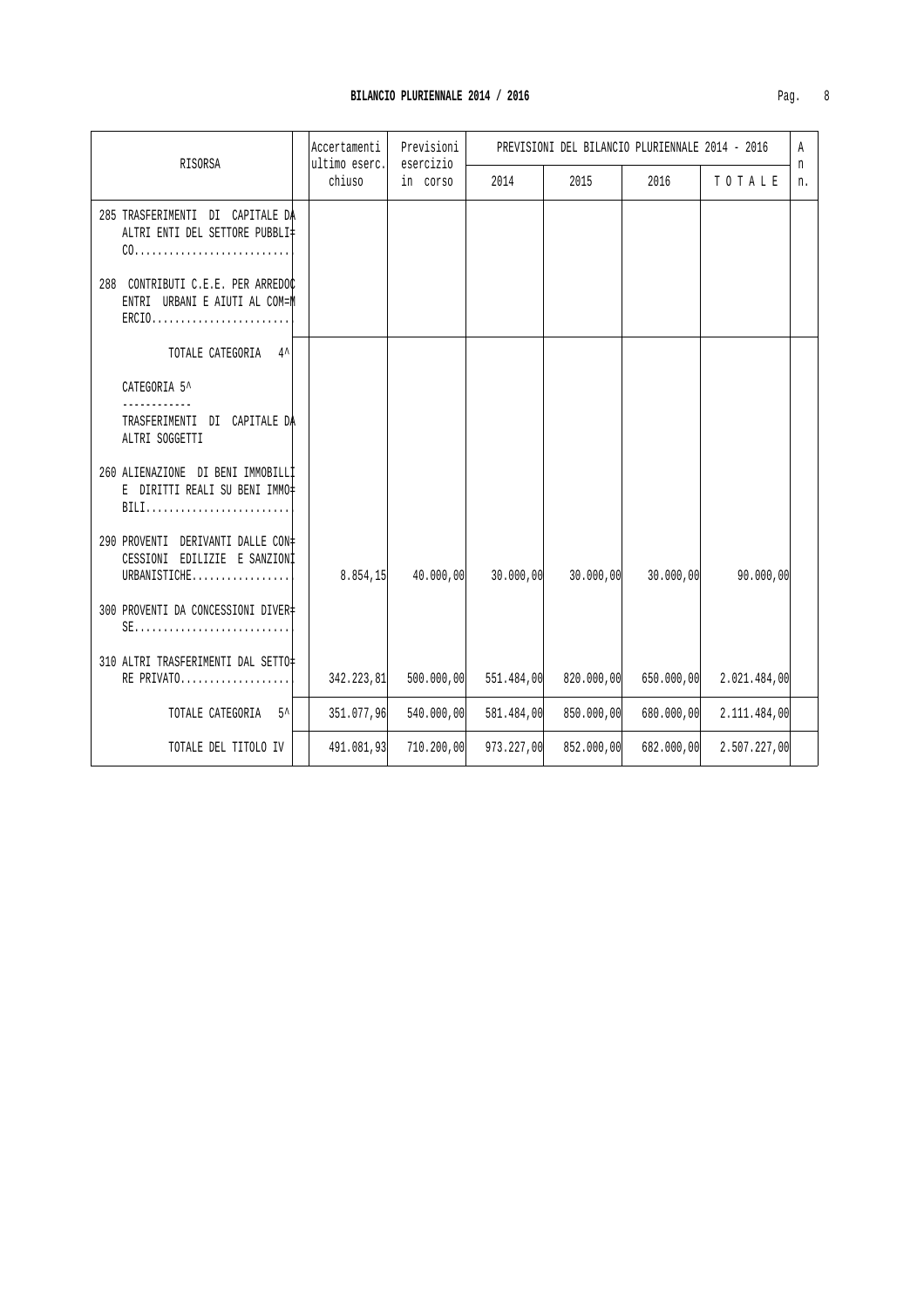| RISORSA                                                                           | Accertamenti<br>ultimo eserc. |            | Previsioni<br>esercizio |            | PREVISIONI DEL BILANCIO PLURIENNALE 2014 - 2016 |            |              | Α<br>n |
|-----------------------------------------------------------------------------------|-------------------------------|------------|-------------------------|------------|-------------------------------------------------|------------|--------------|--------|
|                                                                                   |                               | chiuso     | in corso                | 2014       | 2015                                            | 2016       | TOTALE       | n.     |
| 285 TRASFERIMENTI DI CAPITALE DA<br>ALTRI ENTI DEL SETTORE PUBBLI‡                |                               |            |                         |            |                                                 |            |              |        |
| 288 CONTRIBUTI C.E.E. PER ARREDOC<br>ENTRI URBANI E AIUTI AL COM=M<br>$ERCIO$     |                               |            |                         |            |                                                 |            |              |        |
| TOTALE CATEGORIA 4^                                                               |                               |            |                         |            |                                                 |            |              |        |
| CATEGORIA 5^                                                                      |                               |            |                         |            |                                                 |            |              |        |
| TRASFERIMENTI DI CAPITALE DA<br>ALTRI SOGGETTI                                    |                               |            |                         |            |                                                 |            |              |        |
| 260 ALIENAZIONE DI BENI IMMOBILLI<br>E DIRITTI REALI SU BENI IMMO‡<br>BILI        |                               |            |                         |            |                                                 |            |              |        |
| 290 PROVENTI DERIVANTI DALLE CON‡<br>CESSIONI EDILIZIE E SANZIONI<br>URBANISTICHE |                               | 8.854, 15  | 40.000,00               | 30.000,00  | 30.000,00                                       | 30.000,00  | 90.000,00    |        |
| 300 PROVENTI DA CONCESSIONI DIVER<br>$SE$                                         |                               |            |                         |            |                                                 |            |              |        |
| 310 ALTRI TRASFERIMENTI DAL SETTO<br>RE PRIVATO                                   |                               | 342.223,81 | 500.000,00              | 551.484,00 | 820.000,00                                      | 650.000,00 | 2.021.484,00 |        |
| TOTALE CATEGORIA<br>$5^{\prime}$                                                  |                               | 351.077,96 | 540.000,00              | 581.484,00 | 850.000,00                                      | 680.000,00 | 2.111.484,00 |        |
| TOTALE DEL TITOLO IV                                                              |                               | 491.081,93 | 710.200,00              | 973.227,00 | 852.000,00                                      | 682.000,00 | 2.507.227,00 |        |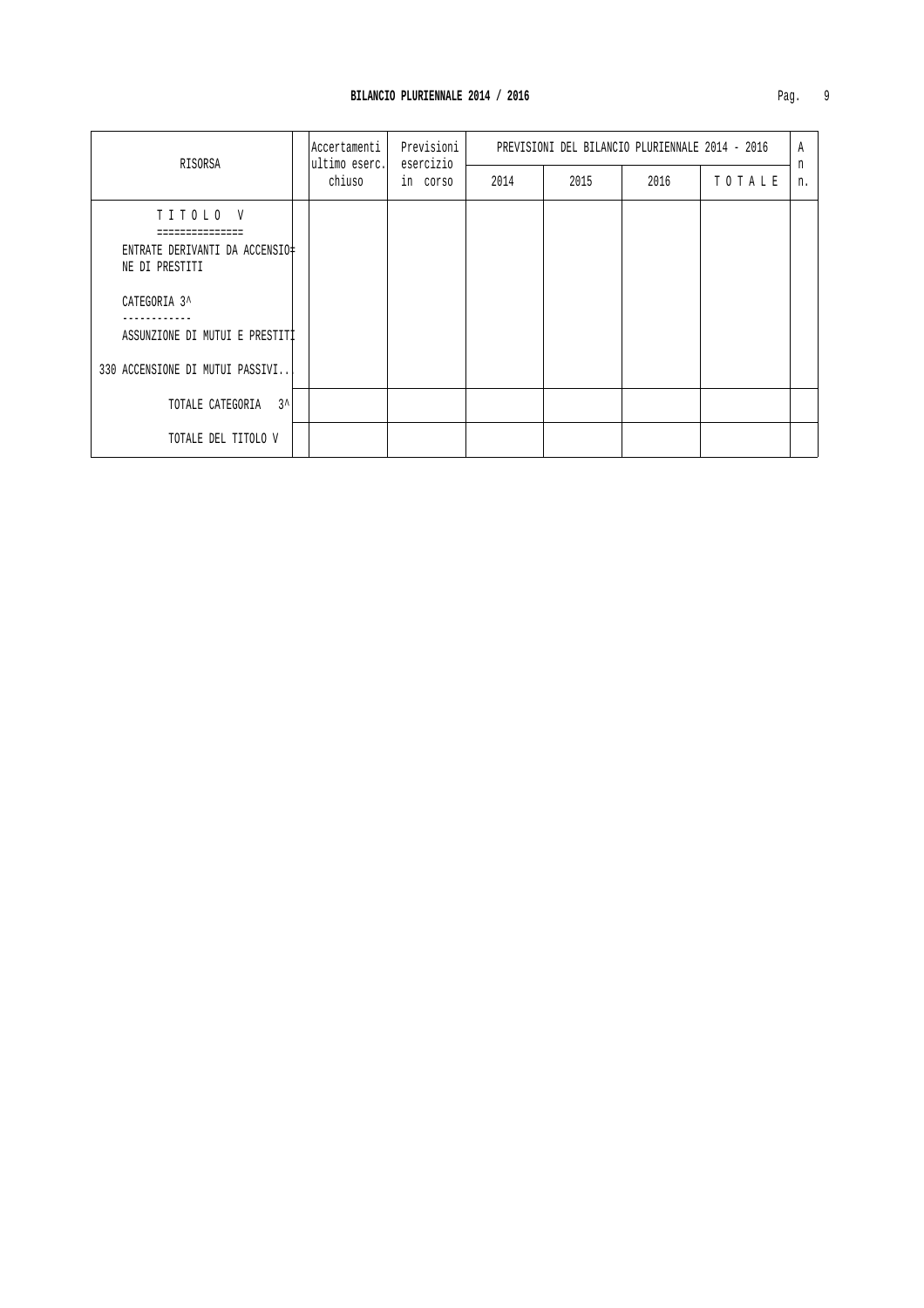| RISORSA                                                                                                                                           |  | ultimo eserc. | Accertamenti | Previsioni<br>esercizio |      | PREVISIONI DEL BILANCIO PLURIENNALE 2014 - 2016 |        |         | Α |
|---------------------------------------------------------------------------------------------------------------------------------------------------|--|---------------|--------------|-------------------------|------|-------------------------------------------------|--------|---------|---|
|                                                                                                                                                   |  | chiuso        | in corso     | 2014                    | 2015 | 2016                                            | TOTALE | n<br>n. |   |
| TITOLO V<br>ENTRATE DERIVANTI DA ACCENSIO‡<br>NE DI PRESTITI<br>CATEGORIA 3^<br>ASSUNZIONE DI MUTUI E PRESTITI<br>330 ACCENSIONE DI MUTUI PASSIVI |  |               |              |                         |      |                                                 |        |         |   |
| $3^{\lambda}$<br>TOTALE CATEGORIA                                                                                                                 |  |               |              |                         |      |                                                 |        |         |   |
| TOTALE DEL TITOLO V                                                                                                                               |  |               |              |                         |      |                                                 |        |         |   |